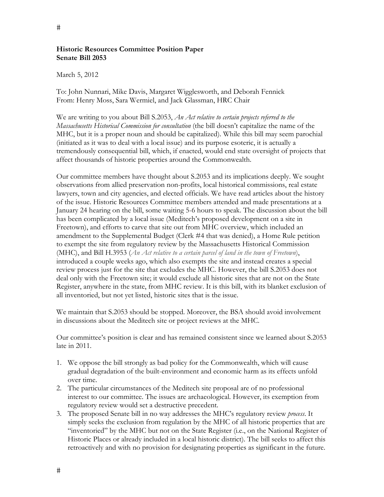## **Historic Resources Committee Position Paper Senate Bill 2053**

March 5, 2012

To: John Nunnari, Mike Davis, Margaret Wigglesworth, and Deborah Fennick From: Henry Moss, Sara Wermiel, and Jack Glassman, HRC Chair

We are writing to you about Bill S.2053, *An Act relative to certain projects referred to the Massachusetts Historical Commission for consultation* (the bill doesn't capitalize the name of the MHC, but it is a proper noun and should be capitalized). While this bill may seem parochial (initiated as it was to deal with a local issue) and its purpose esoteric, it is actually a tremendously consequential bill, which, if enacted, would end state oversight of projects that affect thousands of historic properties around the Commonwealth.

Our committee members have thought about S.2053 and its implications deeply. We sought observations from allied preservation non-profits, local historical commissions, real estate lawyers, town and city agencies, and elected officials. We have read articles about the history of the issue. Historic Resources Committee members attended and made presentations at a January 24 hearing on the bill, some waiting 5-6 hours to speak. The discussion about the bill has been complicated by a local issue (Meditech's proposed development on a site in Freetown), and efforts to carve that site out from MHC overview, which included an amendment to the Supplemental Budget (Clerk #4 that was denied), a Home Rule petition to exempt the site from regulatory review by the Massachusetts Historical Commission (MHC), and Bill H.3953 (*An Act relative to a certain parcel of land in the town of Freetown*), introduced a couple weeks ago, which also exempts the site and instead creates a special review process just for the site that excludes the MHC. However, the bill S.2053 does not deal only with the Freetown site; it would exclude all historic sites that are not on the State Register, anywhere in the state, from MHC review. It is this bill, with its blanket exclusion of all inventoried, but not yet listed, historic sites that is the issue.

We maintain that S.2053 should be stopped. Moreover, the BSA should avoid involvement in discussions about the Meditech site or project reviews at the MHC.

Our committee's position is clear and has remained consistent since we learned about S.2053 late in 2011.

- 1. We oppose the bill strongly as bad policy for the Commonwealth, which will cause gradual degradation of the built-environment and economic harm as its effects unfold over time.
- 2. The particular circumstances of the Meditech site proposal are of no professional interest to our committee. The issues are archaeological. However, its exemption from regulatory review would set a destructive precedent.
- 3. The proposed Senate bill in no way addresses the MHC's regulatory review *process*. It simply seeks the exclusion from regulation by the MHC of all historic properties that are "inventoried" by the MHC but not on the State Register (i.e., on the National Register of Historic Places or already included in a local historic district). The bill seeks to affect this retroactively and with no provision for designating properties as significant in the future.